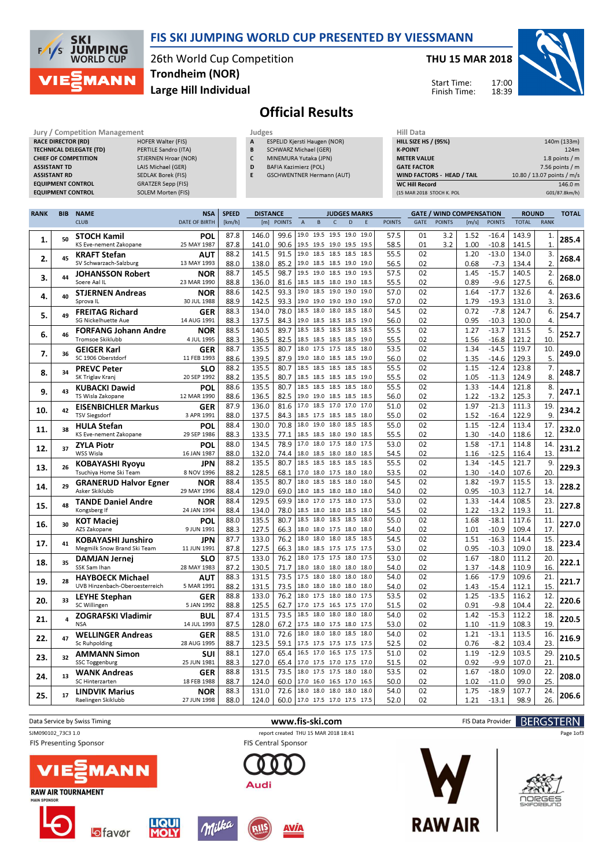

**SKI JUMPING**<br>WORLD CUP  $F/1/S$ **MANN** 

### 26th World Cup Competition Large Hill Individual Trondheim (NOR)

#### THU 15 MAR 2018



Start Time: Finish Time:

# Official Results

| Jury / Competition Management  |                           |   | <b>Hill Data</b><br>Judges          |                    |  |  |  |  |
|--------------------------------|---------------------------|---|-------------------------------------|--------------------|--|--|--|--|
| <b>RACE DIRECTOR (RD)</b>      | <b>HOFER Walter (FIS)</b> | A | <b>ESPELID Kjersti Haugen (NOR)</b> | <b>HILL SIZE H</b> |  |  |  |  |
| <b>TECHNICAL DELEGATE (TD)</b> | PERTILE Sandro (ITA)      | B | SCHWARZ Michael (GER)               | <b>K-POINT</b>     |  |  |  |  |
| <b>CHIEF OF COMPETITION</b>    | STJERNEN Hroar (NOR)      |   | MINEMURA Yutaka (JPN)               | <b>METER VAI</b>   |  |  |  |  |
| <b>ASSISTANT TD</b>            | LAIS Michael (GER)        | D | <b>BAFIA Kazimierz (POL)</b>        | <b>GATE FACT</b>   |  |  |  |  |
| <b>ASSISTANT RD</b>            | SEDLAK Borek (FIS)        | E | <b>GSCHWENTNER Hermann (AUT)</b>    | <b>WIND FACT</b>   |  |  |  |  |
| <b>EQUIPMENT CONTROL</b>       | <b>GRATZER Sepp (FIS)</b> |   |                                     | <b>WC Hill Reg</b> |  |  |  |  |
| <b>EQUIPMENT CONTROL</b>       | <b>SOLEM Morten (FIS)</b> |   |                                     | (15 MAR 201)       |  |  |  |  |

| niil Vata                         |                            |
|-----------------------------------|----------------------------|
| <b>HILL SIZE HS / (95%)</b>       | 140m (133m)                |
| <b>K-POINT</b>                    | 124m                       |
| <b>METER VALUE</b>                | 1.8 points $/m$            |
| <b>GATE FACTOR</b>                | $7.56$ points / m          |
| <b>WIND FACTORS - HEAD / TAIL</b> | 10.80 / 13.07 points / m/s |
| <b>WC Hill Record</b>             | 146.0 m                    |
| (15 MAR 2018 STOCH K. POL         | G01/87.8km/h)              |
|                                   |                            |

| <b>RANK</b> | <b>SPEED</b><br><b>NAME</b><br><b>NSA</b><br><b>DISTANCE</b><br><b>GATE / WIND COMPENSATION</b><br><b>BIB</b><br><b>JUDGES MARKS</b> |                                |                      |        |       |                               | <b>ROUND</b>        |                          |              |      |      |               |      |               |       |               |              |              |       |
|-------------|--------------------------------------------------------------------------------------------------------------------------------------|--------------------------------|----------------------|--------|-------|-------------------------------|---------------------|--------------------------|--------------|------|------|---------------|------|---------------|-------|---------------|--------------|--------------|-------|
|             |                                                                                                                                      | <b>CLUB</b>                    | <b>DATE OF BIRTH</b> | [km/h] | [m]   | <b>POINTS</b>                 | $\overline{A}$      | B                        | $\mathsf{C}$ | D    | E    | <b>POINTS</b> | GATE | <b>POINTS</b> | [m/s] | <b>POINTS</b> | <b>TOTAL</b> | <b>RANK</b>  |       |
|             |                                                                                                                                      | <b>STOCH Kamil</b>             | POL                  | 87.8   | 146.0 | 99.6                          |                     | 19.0 19.5 19.5 19.0      |              |      | 19.0 | 57.5          | 01   | 3.2           | 1.52  | $-16.4$       | 143.9        | 1.           |       |
| 1.          | 50                                                                                                                                   | KS Eve-nement Zakopane         | 25 MAY 1987          | 87.8   | 141.0 | 90.6                          |                     | 19.5 19.5 19.0 19.5 19.5 |              |      |      | 58.5          | 01   | 3.2           | 1.00  | $-10.8$       | 141.5        | $\mathbf{1}$ | 285.4 |
|             |                                                                                                                                      | <b>KRAFT Stefan</b>            | AUT                  | 88.2   | 141.5 | 91.5                          | 19.0                | 18.5 18.5 18.5 18.5      |              |      |      | 55.5          | 02   |               | 1.20  | $-13.0$       | 134.0        | 3.           |       |
| 2.          | 45                                                                                                                                   | SV Schwarzach-Salzburg         | 13 MAY 1993          | 88.0   | 138.0 | 85.2                          |                     | 19.0 18.5 18.5 19.0      |              |      | 19.0 | 56.5          | 02   |               | 0.68  | $-7.3$        | 134.4        | 2.           | 268.4 |
|             |                                                                                                                                      | <b>JOHANSSON Robert</b>        | <b>NOR</b>           | 88.7   | 145.5 | 98.7                          |                     | 19.5 19.0 18.5 19.0      |              |      | 19.5 | 57.5          | 02   |               | 1.45  | $-15.7$       | 140.5        | 2.           |       |
| 3.          | 44                                                                                                                                   | Soere Aal IL                   | 23 MAR 1990          | 88.8   | 136.0 | 81.6                          |                     | 18.5 18.5 18.0 19.0      |              |      | 18.5 | 55.5          | 02   |               | 0.89  | $-9.6$        | 127.5        | 6.           | 268.0 |
|             |                                                                                                                                      | <b>STJERNEN Andreas</b>        | <b>NOR</b>           | 88.6   | 142.5 | 93.3                          |                     | 19.0 18.5 19.0 19.0      |              |      | 19.0 | 57.0          | 02   |               | 1.64  | $-17.7$       | 132.6        | 4.           |       |
| 4.          | 40                                                                                                                                   | Sprova <sub>IL</sub>           | 30 JUL 1988          | 88.9   | 142.5 | 93.3                          |                     | 19.0 19.0 19.0 19.0      |              |      | 19.0 | 57.0          | 02   |               | 1.79  | $-19.3$       | 131.0        | 3.           | 263.6 |
|             |                                                                                                                                      | <b>FREITAG Richard</b>         | <b>GER</b>           | 88.3   | 134.0 | 78.0                          | 18.5                | 18.0                     | 18.0         | 18.5 | 18.0 | 54.5          | 02   |               | 0.72  | $-7.8$        | 124.7        | 6.           |       |
| 5.          | 49                                                                                                                                   | SG Nickelhuette Aue            | 14 AUG 1991          | 88.3   | 137.5 | 84.3                          |                     | 19.0 18.5 18.5 18.5 19.0 |              |      |      | 56.0          | 02   |               | 0.95  | $-10.3$       | 130.0        | 4.           | 254.7 |
|             |                                                                                                                                      | FORFANG Johann Andre           | <b>NOR</b>           | 88.5   | 140.5 | 89.7                          |                     | 18.5 18.5 18.5 18.5 18.5 |              |      |      | 55.5          | 02   |               | 1.27  | $-13.7$       | 131.5        | 5.           |       |
| 6.          | 46                                                                                                                                   | Tromsoe Skiklubb               | 4 JUL 1995           | 88.3   | 136.5 | 82.5                          |                     | 18.5 18.5 18.5 18.5      |              |      | 19.0 | 55.5          | 02   |               | 1.56  | $-16.8$       | 121.2        | 10.          | 252.7 |
|             |                                                                                                                                      | <b>GEIGER Karl</b>             | <b>GER</b>           | 88.7   | 135.5 | 80.7                          |                     | 18.0 17.5 17.5 18.5      |              |      | 18.0 | 53.5          | 02   |               | 1.34  | $-14.5$       | 119.7        | 10.          |       |
| 7.          | 36                                                                                                                                   | SC 1906 Oberstdorf             | 11 FEB 1993          | 88.6   | 139.5 | 87.9                          |                     | 19.0 18.0 18.5 18.5 19.0 |              |      |      | 56.0          | 02   |               | 1.35  | $-14.6$       | 129.3        | 5.           | 249.0 |
|             |                                                                                                                                      | <b>PREVC Peter</b>             | <b>SLO</b>           | 88.2   | 135.5 | 80.7                          | 18.5                | 18.5 18.5 18.5           |              |      | 18.5 | 55.5          | 02   |               | 1.15  | $-12.4$       | 123.8        | 7.           |       |
| 8.          | 34                                                                                                                                   | SK Triglav Kranj               | 20 SEP 1992          | 88.2   | 135.5 | 80.7                          |                     | 18.5 18.5 18.5 18.5 19.0 |              |      |      | 55.5          | 02   |               | 1.05  | $-11.3$       | 124.9        | 8.           | 248.7 |
|             |                                                                                                                                      | <b>KUBACKI Dawid</b>           | <b>POL</b>           | 88.6   | 135.5 | 80.7                          | 18.5                | 18.5 18.5 18.5 18.0      |              |      |      | 55.5          | 02   |               | 1.33  | $-14.4$       | 121.8        | 8.           |       |
| 9.          | 43                                                                                                                                   | TS Wisla Zakopane              | 12 MAR 1990          | 88.6   | 136.5 | 82.5                          |                     | 19.0 19.0 18.5 18.5 18.5 |              |      |      | 56.0          | 02   |               | 1.22  | $-13.2$       | 125.3        | 7.           | 247.1 |
|             |                                                                                                                                      | <b>EISENBICHLER Markus</b>     | <b>GER</b>           | 87.9   | 136.0 | 81.6                          |                     | 17.0 18.5 17.0 17.0 17.0 |              |      |      | 51.0          | 02   |               | 1.97  | $-21.3$       | 111.3        | 19.          |       |
| 10.         | 42                                                                                                                                   | <b>TSV Siegsdorf</b>           | 3 APR 1991           | 88.0   | 137.5 | 84.3                          |                     | 18.5 17.5 18.5 18.5      |              |      | 18.0 | 55.0          | 02   |               | 1.52  | $-16.4$       | 122.9        | 9.           | 234.2 |
|             |                                                                                                                                      | <b>HULA Stefan</b>             | POL                  | 88.4   | 130.0 | 70.8                          | 18.0                | 19.0                     | 18.0         | 18.5 | 18.5 | 55.0          | 02   |               | 1.15  | $-12.4$       | 113.4        | 17.          |       |
| 11.         | 38                                                                                                                                   | KS Eve-nement Zakopane         | 29 SEP 1986          | 88.3   | 133.5 | 77.1                          |                     | 18.5 18.5 18.0 19.0      |              |      | 18.5 | 55.5          | 02   |               | 1.30  | $-14.0$       | 118.6        | 12.          | 232.0 |
|             |                                                                                                                                      | <b>ZYLA Piotr</b>              | POL                  | 88.0   | 134.5 | 78.9                          | 17.0                | 18.0                     | 17.5 18.0    |      | 17.5 | 53.0          | 02   |               | 1.58  | $-17.1$       | 114.8        | 14.          |       |
| 12.         | 37                                                                                                                                   | <b>WSS Wisla</b>               | 16 JAN 1987          | 88.0   | 132.0 | 74.4                          |                     | 18.0 18.5 18.0 18.0 18.5 |              |      |      | 54.5          | 02   |               | 1.16  | $-12.5$       | 116.4        | 13.          | 231.2 |
|             |                                                                                                                                      | <b>KOBAYASHI Ryoyu</b>         | <b>JPN</b>           | 88.2   | 135.5 | 80.7                          |                     | 18.5 18.5 18.5 18.5      |              |      | 18.5 | 55.5          | 02   |               | 1.34  | $-14.5$       | 121.7        | 9.           |       |
| 13.         | 26                                                                                                                                   | Tsuchiya Home Ski Team         | 8 NOV 1996           | 88.2   | 128.5 | 68.1                          | 17.0                | 18.0 17.5 18.0           |              |      | 18.0 | 53.5          | 02   |               | 1.30  | $-14.0$       | 107.6        | 20.          | 229.3 |
|             |                                                                                                                                      | <b>GRANERUD Halvor Egner</b>   | <b>NOR</b>           | 88.4   | 135.5 | 80.7                          | 18.0                | 18.5 18.5                |              | 18.0 | 18.0 | 54.5          | 02   |               | 1.82  | $-19.7$       | 115.5        | 13.          |       |
| 14.         | 29                                                                                                                                   | Asker Skiklubb                 | 29 MAY 1996          | 88.4   | 129.0 | 69.0                          |                     | 18.0 18.5 18.0 18.0      |              |      | 18.0 | 54.0          | 02   |               | 0.95  | $-10.3$       | 112.7        | 14.          | 228.2 |
|             | 48                                                                                                                                   | <b>TANDE Daniel Andre</b>      | <b>NOR</b>           | 88.4   | 129.5 | 69.9                          | 18.0                | 17.0 17.5 18.0           |              |      | 17.5 | 53.0          | 02   |               | 1.33  | $-14.4$       | 108.5        | 23.          |       |
| 15.         |                                                                                                                                      | Kongsberg If                   | 24 JAN 1994          | 88.4   | 134.0 | 78.0                          |                     | 18.5 18.0 18.0 18.5 18.0 |              |      |      | 54.5          | 02   |               | 1.22  | $-13.2$       | 119.3        | 11.          | 227.8 |
| 16.         | 30                                                                                                                                   | <b>KOT Maciei</b>              | POL                  | 88.0   | 135.5 | 80.7                          | 18.5                | 18.0                     | 18.5 18.5    |      | 18.0 | 55.0          | 02   |               | 1.68  | $-18.1$       | 117.6        | 11.          | 227.0 |
|             |                                                                                                                                      | AZS Zakopane                   | 9 JUN 1991           | 88.3   | 127.5 | 66.3                          |                     | 18.0 18.0 17.5 18.0 18.0 |              |      |      | 54.0          | 02   |               | 1.01  | $-10.9$       | 109.4        | 17.          |       |
| 17.         | 41                                                                                                                                   | KOBAYASHI Junshiro             | <b>JPN</b>           | 87.7   | 133.0 | 76.2                          | 18.0                | 18.0 18.0 18.5 18.5      |              |      |      | 54.5          | 02   |               | 1.51  | $-16.3$       | 114.4        | 15.          |       |
|             |                                                                                                                                      | Megmilk Snow Brand Ski Team    | 11 JUN 1991          | 87.8   | 127.5 | 66.3                          |                     | 18.0 18.5 17.5 17.5 17.5 |              |      |      | 53.0          | 02   |               | 0.95  | $-10.3$       | 109.0        | 18.          | 223.4 |
| 18.         | 35                                                                                                                                   | <b>DAMJAN Jernej</b>           | <b>SLO</b>           | 87.5   | 133.0 | 76.2                          | 18.0                | 17.5 17.5 18.0           |              |      | 17.5 | 53.0          | 02   |               | 1.67  | $-18.0$       | 111.2        | 20.          | 222.1 |
|             |                                                                                                                                      | SSK Sam Ihan                   | 28 MAY 1983          | 87.2   | 130.5 | 71.7                          |                     | 18.0 18.0 18.0 18.0      |              |      | 18.0 | 54.0          | 02   |               | 1.37  | $-14.8$       | 110.9        | 16.          |       |
| 19.         | 28                                                                                                                                   | <b>HAYBOECK Michael</b>        | <b>AUT</b>           | 88.3   | 131.5 | 73.5                          | 17.5                | 18.0                     | 18.0         | 18.0 | 18.0 | 54.0          | 02   |               | 1.66  | $-17.9$       | 109.6        | 21.          | 221.7 |
|             |                                                                                                                                      | UVB Hinzenbach-Oberoesterreich | 5 MAR 1991           | 88.2   | 131.5 | 73.5                          |                     | 18.0 18.0 18.0 18.0      |              |      | 18.0 | 54.0          | 02   |               | 1.43  | $-15.4$       | 112.1        | 15.          |       |
| 20.         | 33                                                                                                                                   | <b>LEYHE Stephan</b>           | <b>GER</b>           | 88.8   | 133.0 | 76.2                          |                     | 18.0 17.5 18.0 18.0      |              |      | 17.5 | 53.5          | 02   |               | 1.25  | $-13.5$       | 116.2        | 12.          | 220.6 |
|             |                                                                                                                                      | SC Willingen                   | 5 JAN 1992           | 88.8   | 125.5 | 62.7                          |                     | 17.0 17.5 16.5 17.5 17.0 |              |      |      | 51.5          | 02   |               | 0.91  | $-9.8$        | 104.4        | 22.          |       |
| 21.         |                                                                                                                                      | <b>ZOGRAFSKI Vladimir</b>      | <b>BUL</b>           | 87.4   | 131.5 | 73.5                          |                     | 18.5 18.0 18.0 18.0      |              |      | 18.0 | 54.0          | 02   |               | 1.42  | $-15.3$       | 112.2        | 18.          | 220.5 |
|             |                                                                                                                                      | <b>NSA</b>                     | 14 JUL 1993          | 87.5   | 128.0 | 67.2                          |                     | 17.5 18.0 17.5 18.0      |              |      | 17.5 | 53.0          | 02   |               | 1.10  | $-11.9$       | 108.3        | 19.          |       |
| 22.         | 47                                                                                                                                   | <b>WELLINGER Andreas</b>       | <b>GER</b>           | 88.5   | 131.0 | 72.6                          |                     | 18.0 18.0 18.0 18.5      |              |      | 18.0 | 54.0          | 02   |               | 1.21  | $-13.1$       | 113.5        | 16.          | 216.9 |
|             |                                                                                                                                      | Sc Ruhpolding                  | 28 AUG 1995          | 88.7   | 123.5 | 59.1                          |                     | 17.5 17.5 17.5 17.5 17.5 |              |      |      | 52.5          | 02   |               | 0.76  | $-8.2$        | 103.4        | 23.          |       |
| 23.         | 32                                                                                                                                   | <b>AMMANN Simon</b>            | SUI                  | 88.1   | 127.0 | 65.4                          | 16.5                | 17.0 16.5 17.5           |              |      | 17.5 | 51.0          | 02   |               | 1.19  | $-12.9$       | 103.5        | 29.          | 210.5 |
|             |                                                                                                                                      | <b>SSC Toggenburg</b>          | 25 JUN 1981          | 88.3   | 127.0 | 65.4                          |                     | 17.0 17.5 17.0 17.5 17.0 |              |      |      | 51.5          | 02   |               | 0.92  | $-9.9$        | 107.0        | 21           |       |
| 24.         | 13                                                                                                                                   | <b>WANK Andreas</b>            | <b>GER</b>           | 88.8   | 131.5 | 73.5                          |                     | 18.0 17.5 17.5 18.0 18.0 |              |      |      | 53.5          | 02   |               | 1.67  | $-18.0$       | 109.0        | 22.          | 208.0 |
|             |                                                                                                                                      | SC Hinterzarten                | 18 FEB 1988          | 88.7   | 124.0 | 60.0                          | 17.0 16.0 16.5 17.0 |                          |              |      | 16.5 | 50.0          | 02   |               | 1.02  | $-11.0$       | 99.0         | 25.          |       |
| 25.         | 17                                                                                                                                   | <b>LINDVIK Marius</b>          | <b>NOR</b>           | 88.3   | 131.0 | 72.6                          |                     | 18.0 18.0 18.0 18.0      |              |      | 18.0 | 54.0          | 02   |               | 1.75  | $-18.9$       | 107.7        | 24.          | 206.6 |
|             |                                                                                                                                      | Raelingen Skiklubb             | 27 JUN 1998          | 88.0   | 124.0 | 60.0 17.0 17.5 17.0 17.5 17.5 |                     |                          |              |      |      | 52.0          | 02   |               | 1.21  | $-13.1$       | 98.9         | 26.          |       |













**RAW AIR** 

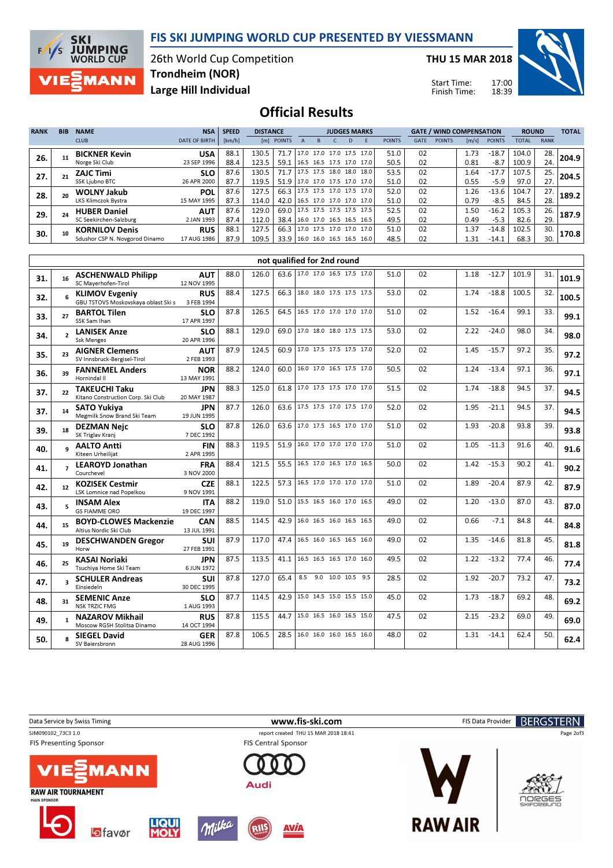



26th World Cup Competition Large Hill Individual Trondheim (NOR)

THU 15 MAR 2018

Start Time: Finish Time:



# Official Results

| <b>RANK</b> | <b>BIB</b> | <b>NAME</b>                                             | <b>NSA</b>                | <b>SPEED</b> | <b>DISTANCE</b> |              |                                                   | <b>JUDGES MARKS</b> |  |    |                                                          | <b>GATE / WIND COMPENSATION</b> |             |               |                       | <b>ROUND</b>       |                | <b>TOTAL</b> |       |
|-------------|------------|---------------------------------------------------------|---------------------------|--------------|-----------------|--------------|---------------------------------------------------|---------------------|--|----|----------------------------------------------------------|---------------------------------|-------------|---------------|-----------------------|--------------------|----------------|--------------|-------|
|             |            | <b>CLUB</b>                                             | <b>DATE OF BIRTH</b>      | [km/h]       |                 | [m] POINTS   |                                                   |                     |  | D. |                                                          | <b>POINTS</b>                   | <b>GATE</b> | <b>POINTS</b> | $\lfloor m/s \rfloor$ | <b>POINTS</b>      | <b>TOTAL</b>   | <b>RANK</b>  |       |
| 26.         |            | <b>BICKNER Kevin</b><br>Norge Ski Club                  | <b>USA</b><br>23 SEP 1996 | 88.1<br>88.4 | 130.5<br>123.5  | 71.7<br>59.1 | 16.5 16.5 17.5 17.0 17.0                          |                     |  |    | 17.0 17.0 17.0 17.5 17.0                                 | 51.0<br>50.5                    | 02<br>02    |               | 1.73<br>0.81          | $-18.7$<br>$-8.7$  | 104.0<br>100.9 | 28.<br>24.   | 204.9 |
| 27.         |            | <b>ZAJC Timi</b><br>SSK Ljubno BTC                      | <b>SLO</b><br>26 APR 2000 | 87.6<br>87.7 | 130.5<br>119.5  | 71.7<br>51.9 | 17.5 17.5 18.0 18.0<br>  17.0 17.0 17.5 17.0 17.0 |                     |  |    | 18.0                                                     | 53.5<br>51.0                    | 02<br>02    |               | 1.64<br>0.55          | $-17.7$<br>-5.9    | 107.5<br>97.0  | 25.<br>27.   | 204.5 |
| 28.         |            | <b>WOLNY Jakub</b><br>LKS Klimczok Bystra               | <b>POL</b><br>15 MAY 1995 | 87.6<br>87.3 | 127.5<br>114.0  | 66.3<br>42.0 | 16.5 17.0 17.0 17.0 17.0                          |                     |  |    | 17.5 17.5 17.0 17.5 17.0                                 | 52.0<br>51.0                    | 02<br>02    |               | 1.26<br>0.79          | $-13.6$<br>-8.5    | 104.7<br>84.5  | 27.<br>28.   | 189.2 |
| 29.         |            | <b>HUBER Daniel</b><br>SC Seekirchen-Salzburg           | <b>AUT</b><br>2 JAN 1993  | 87.6<br>87.4 | 129.0<br>112.0  | 69.0<br>38.4 | 16.0 17.0 16.5 16.5 16.5                          |                     |  |    | 17.5 17.5 17.5 17.5 17.5                                 | 52.5<br>49.5                    | 02<br>02    |               | 1.50<br>0.49          | $-16.2$<br>$-5.3$  | 105.3<br>82.6  | 26.<br>29.   | 187.9 |
| 30.         |            | <b>KORNILOV Denis</b><br>Sdushor CSP N. Novgorod Dinamo | <b>RUS</b><br>17 AUG 1986 | 88.1<br>87.9 | 127.5<br>109.5  | 66.3<br>33.9 |                                                   |                     |  |    | 17.0 17.5 17.0 17.0 17.0  <br>  16.0 16.0 16.5 16.5 16.0 | 51.0<br>48.5                    | 02<br>02    |               | 1.37<br>1.31          | $-14.8$<br>$-14.1$ | 102.5<br>68.3  | 30.<br>30.   | 170.8 |

|     | not qualified for 2nd round |                                                              |                           |      |       |      |                                 |  |      |    |      |         |       |     |       |
|-----|-----------------------------|--------------------------------------------------------------|---------------------------|------|-------|------|---------------------------------|--|------|----|------|---------|-------|-----|-------|
| 31. | 16                          | <b>ASCHENWALD Philipp</b><br>SC Mayerhofen-Tirol             | <b>AUT</b><br>12 NOV 1995 | 88.0 | 126.0 |      | 63.6 17.0 17.0 16.5 17.5 17.0   |  | 51.0 | 02 | 1.18 | $-12.7$ | 101.9 | 31. | 101.9 |
| 32. | 6                           | <b>KLIMOV Evgeniy</b><br>GBU TSTOVS Moskovskaya oblast Ski s | <b>RUS</b><br>3 FEB 1994  | 88.4 | 127.5 |      | 66.3 18.0 18.0 17.5 17.5 17.5   |  | 53.0 | 02 | 1.74 | $-18.8$ | 100.5 | 32. | 100.5 |
| 33. | 27                          | <b>BARTOL Tilen</b><br>SSK Sam Ihan                          | <b>SLO</b><br>17 APR 1997 | 87.8 | 126.5 | 64.5 | 16.5 17.0 17.0 17.0 17.0        |  | 51.0 | 02 | 1.52 | $-16.4$ | 99.1  | 33. | 99.1  |
| 34. | $\overline{\phantom{a}}$    | <b>LANISEK Anze</b><br><b>Ssk Menges</b>                     | <b>SLO</b><br>20 APR 1996 | 88.1 | 129.0 | 69.0 | 17.0 18.0 18.0 17.5 17.5        |  | 53.0 | 02 | 2.22 | $-24.0$ | 98.0  | 34. | 98.0  |
| 35. | 23                          | <b>AIGNER Clemens</b><br>SV Innsbruck-Bergisel-Tirol         | <b>AUT</b><br>2 FEB 1993  | 87.9 | 124.5 |      | 60.9 17.0 17.5 17.5 17.5 17.0   |  | 52.0 | 02 | 1.45 | $-15.7$ | 97.2  | 35. | 97.2  |
| 36. | 39                          | <b>FANNEMEL Anders</b><br>Hornindal II                       | NOR<br>13 MAY 1991        | 88.2 | 124.0 | 60.0 | 16.0 17.0 16.5 17.5 17.0        |  | 50.5 | 02 | 1.24 | $-13.4$ | 97.1  | 36. | 97.1  |
| 37. | 22                          | <b>TAKEUCHI Taku</b><br>Kitano Construction Corp. Ski Club   | <b>JPN</b><br>20 MAY 1987 | 88.3 | 125.0 |      | 61.8 17.0 17.5 17.5 17.0 17.0   |  | 51.5 | 02 | 1.74 | $-18.8$ | 94.5  | 37. | 94.5  |
| 37. | 14                          | <b>SATO Yukiva</b><br>Megmilk Snow Brand Ski Team            | JPN<br>19 JUN 1995        | 87.7 | 126.0 |      | 63.6   17.5 17.5 17.0 17.5 17.0 |  | 52.0 | 02 | 1.95 | $-21.1$ | 94.5  | 37. | 94.5  |
| 39. | 18                          | <b>DEZMAN Nejc</b><br>SK Triglav Kranj                       | <b>SLO</b><br>7 DEC 1992  | 87.8 | 126.0 |      | 63.6 17.0 17.5 16.5 17.0 17.0   |  | 51.0 | 02 | 1.93 | $-20.8$ | 93.8  | 39. | 93.8  |
| 40. | $\mathbf{q}$                | <b>AALTO Antti</b><br>Kiteen Urheilijat                      | <b>FIN</b><br>2 APR 1995  | 88.3 | 119.5 | 51.9 | 16.0 17.0 17.0 17.0 17.0        |  | 51.0 | 02 | 1.05 | $-11.3$ | 91.6  | 40. | 91.6  |
| 41. | $\overline{ }$              | <b>LEAROYD Jonathan</b><br>Courchevel                        | <b>FRA</b><br>3 NOV 2000  | 88.4 | 121.5 | 55.5 | 16.5 17.0 16.5 17.0 16.5        |  | 50.0 | 02 | 1.42 | $-15.3$ | 90.2  | 41. | 90.2  |
| 42. | 12                          | <b>KOZISEK Cestmir</b><br>LSK Lomnice nad Popelkou           | <b>CZE</b><br>9 NOV 1991  | 88.1 | 122.5 |      | 57.3 16.5 17.0 17.0 17.0 17.0   |  | 51.0 | 02 | 1.89 | $-20.4$ | 87.9  | 42. | 87.9  |
| 43. | 5.                          | <b>INSAM Alex</b><br><b>GS FIAMME ORO</b>                    | <b>ITA</b><br>19 DEC 1997 | 88.2 | 119.0 | 51.0 | 15.5 16.5 16.0 17.0 16.5        |  | 49.0 | 02 | 1.20 | $-13.0$ | 87.0  | 43. | 87.0  |
| 44. | 15                          | <b>BOYD-CLOWES Mackenzie</b><br>Altius Nordic Ski Club       | CAN<br>13 JUL 1991        | 88.5 | 114.5 | 42.9 | 16.0 16.5 16.0 16.5 16.5        |  | 49.0 | 02 | 0.66 | $-7.1$  | 84.8  | 44. | 84.8  |
| 45. | 19                          | <b>DESCHWANDEN Gregor</b><br>Horw                            | <b>SUI</b><br>27 FEB 1991 | 87.9 | 117.0 | 47.4 | 16.5 16.0 16.5 16.5 16.0        |  | 49.0 | 02 | 1.35 | $-14.6$ | 81.8  | 45. | 81.8  |
| 46. | 25                          | <b>KASAI Noriaki</b><br>Tsuchiya Home Ski Team               | JPN<br>6 JUN 1972         | 87.5 | 113.5 | 41.1 | 16.5 16.5 16.5 17.0 16.0        |  | 49.5 | 02 | 1.22 | $-13.2$ | 77.4  | 46. | 77.4  |
| 47. | 3                           | <b>SCHULER Andreas</b><br>Einsiedeln                         | suı<br>30 DEC 1995        | 87.8 | 127.0 | 65.4 | 8.5 9.0 10.0 10.5 9.5           |  | 28.5 | 02 | 1.92 | $-20.7$ | 73.2  | 47. | 73.2  |
| 48. | 31                          | <b>SEMENIC Anze</b><br><b>NSK TRZIC FMG</b>                  | <b>SLO</b><br>1 AUG 1993  | 87.7 | 114.5 | 42.9 | 15.0 14.5 15.0 15.5 15.0        |  | 45.0 | 02 | 1.73 | $-18.7$ | 69.2  | 48. | 69.2  |
| 49. | $\mathbf{1}$                | <b>NAZAROV Mikhail</b><br>Moscow RGSH Stolitsa Dinamo        | <b>RUS</b><br>14 OCT 1994 | 87.8 | 115.5 | 44.7 | 15.0 16.5 16.0 16.5 15.0        |  | 47.5 | 02 | 2.15 | $-23.2$ | 69.0  | 49. | 69.0  |
| 50. |                             | <b>SIEGEL David</b><br>SV Baiersbronn                        | <b>GER</b><br>28 AUG 1996 | 87.8 | 106.5 | 28.5 | 16.0 16.0 16.0 16.5 16.0        |  | 48.0 | 02 | 1.31 | $-14.1$ | 62.4  | 50. | 62.4  |